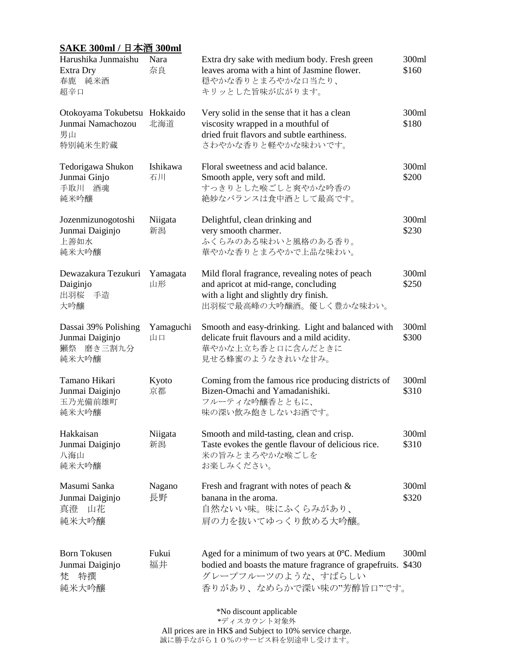| SAKE 300ml / 日本酒 300ml                                             |                 |                                                                                                                                                                  |                |  |  |  |  |
|--------------------------------------------------------------------|-----------------|------------------------------------------------------------------------------------------------------------------------------------------------------------------|----------------|--|--|--|--|
| Harushika Junmaishu<br>Extra Dry<br>春鹿 純米酒<br>超辛口                  | Nara<br>奈良      | Extra dry sake with medium body. Fresh green<br>leaves aroma with a hint of Jasmine flower.<br>穏やかな香りとまろやかな口当たり、<br>キリッとした旨味が広がります。                              | 300ml<br>\$160 |  |  |  |  |
| Otokoyama Tokubetsu Hokkaido<br>Junmai Namachozou<br>男山<br>特別純米生貯蔵 | 北海道             | Very solid in the sense that it has a clean<br>viscosity wrapped in a mouthful of<br>dried fruit flavors and subtle earthiness.<br>さわやかな香りと軽やかな味わいです。            | 300ml<br>\$180 |  |  |  |  |
| Tedorigawa Shukon<br>Junmai Ginjo<br>手取川 酒魂<br>純米吟釀                | Ishikawa<br>石川  | Floral sweetness and acid balance.<br>Smooth apple, very soft and mild.<br>すっきりとした喉ごしと爽やかな吟香の<br>絶妙なバランスは食中酒として最高です。                                             | 300ml<br>\$200 |  |  |  |  |
| Jozenmizunogotoshi<br>Junmai Daiginjo<br>上善如水<br>純米大吟釀             | Niigata<br>新潟   | Delightful, clean drinking and<br>very smooth charmer.<br>ふくらみのある味わいと風格のある香り。<br>華やかな香りとまろやかで上品な味わい。                                                             | 300ml<br>\$230 |  |  |  |  |
| Dewazakura Tezukuri<br>Daiginjo<br>出羽桜 手造<br>大吟釀                   | Yamagata<br>山形  | Mild floral fragrance, revealing notes of peach<br>and apricot at mid-range, concluding<br>with a light and slightly dry finish.<br>出羽桜で最高峰の大吟醸酒。優しく豊かな味わい。      | 300ml<br>\$250 |  |  |  |  |
| Dassai 39% Polishing<br>Junmai Daiginjo<br>獺祭 磨き三割九分<br>純米大吟釀      | Yamaguchi<br>山口 | Smooth and easy-drinking. Light and balanced with<br>delicate fruit flavours and a mild acidity.<br>華やかな上立ち香と口に含んだときに<br>見せる蜂蜜のようなきれいな甘み。                        | 300ml<br>\$300 |  |  |  |  |
| Tamano Hikari<br>Junmai Daiginjo<br>玉乃光備前雄町<br>純米大吟釀               | Kyoto<br>京都     | Coming from the famous rice producing districts of<br>Bizen-Omachi and Yamadanishiki.<br>フルーティな吟釀香とともに、<br>味の深い飲み飽きしないお酒です。                                      | 300ml<br>\$310 |  |  |  |  |
| Hakkaisan<br>Junmai Daiginjo<br>八海山<br>純米大吟釀                       | Niigata<br>新潟   | Smooth and mild-tasting, clean and crisp.<br>Taste evokes the gentle flavour of delicious rice.<br>米の旨みとまろやかな喉ごしを<br>お楽しみください。                                   | 300ml<br>\$310 |  |  |  |  |
| Masumi Sanka<br>Junmai Daiginjo<br>真澄 山花<br>純米大吟釀                  | Nagano<br>長野    | Fresh and fragrant with notes of peach $\&$<br>banana in the aroma.<br>自然ないい味。味にふくらみがあり、<br>肩の力を抜いてゆっくり飲める大吟釀。                                                   | 300ml<br>\$320 |  |  |  |  |
| <b>Born Tokusen</b><br>Junmai Daiginjo<br>特撰<br>梵<br>純米大吟釀         | Fukui<br>福井     | Aged for a minimum of two years at 0°C. Medium<br>bodied and boasts the mature fragrance of grapefruits. \$430<br>グレープフルーツのような、すばらしい<br>香りがあり、なめらかで深い味の"芳醇旨口"です。 | 300ml          |  |  |  |  |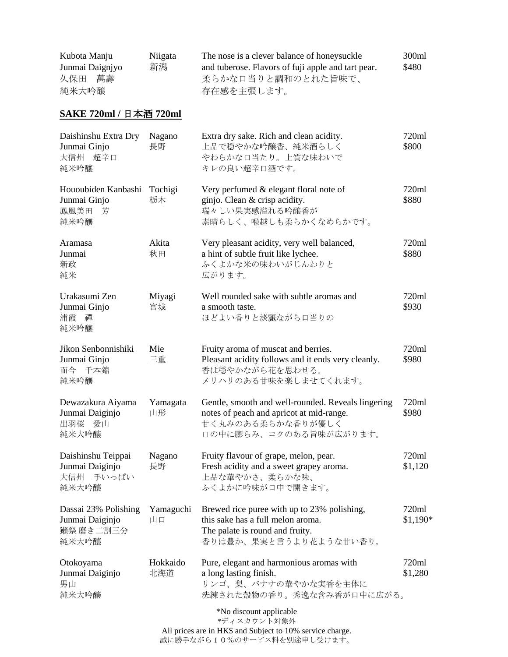| Kubota Manju    | Niigata | The nose is a clever balance of honeysuckle        | 300ml |
|-----------------|---------|----------------------------------------------------|-------|
| Junmai Daigniyo | 新潟      | and tuberose. Flavors of fuji apple and tart pear. | \$480 |
| 萬壽<br>久保田       |         | 柔らかな口当りと調和のとれた旨味で、                                 |       |
| 純米大吟醸           |         | 存在感を主張します。                                         |       |

## **SAKE 720ml /** 日本酒 **720ml**

| Daishinshu Extra Dry<br>Junmai Ginjo<br>大信州 超辛口<br>純米吟釀       | Nagano<br>長野    | Extra dry sake. Rich and clean acidity.<br>上品で穏やかな吟醸香、純米酒らしく<br>やわらかな口当たり。上質な味わいで<br>キレの良い超辛口酒です。                                             | 720ml<br>\$800    |  |  |  |
|---------------------------------------------------------------|-----------------|-----------------------------------------------------------------------------------------------------------------------------------------------|-------------------|--|--|--|
| Hououbiden Kanbashi<br>Junmai Ginjo<br>鳳凰美田<br>芳<br>純米吟釀      | Tochigi<br>栃木   | Very perfumed & elegant floral note of<br>ginjo. Clean & crisp acidity.<br>瑞々しい果実感溢れる吟醸香が<br>素晴らしく、喉越しも柔らかくなめらかです。                            | 720ml<br>\$880    |  |  |  |
| Aramasa<br>Junmai<br>新政<br>純米                                 | Akita<br>秋田     | Very pleasant acidity, very well balanced,<br>a hint of subtle fruit like lychee.<br>ふくよかな米の味わいがじんわりと<br>広がります。                               | 720ml<br>\$880    |  |  |  |
| Urakasumi Zen<br>Junmai Ginjo<br>浦霞<br>禪<br>純米吟釀              | Miyagi<br>宮城    | Well rounded sake with subtle aromas and<br>a smooth taste.<br>ほどよい香りと淡麗ながら口当りの                                                               | 720ml<br>\$930    |  |  |  |
| Jikon Senbonnishiki<br>Junmai Ginjo<br>而今 千本錦<br>純米吟釀         | Mie<br>三重       | Fruity aroma of muscat and berries.<br>Pleasant acidity follows and it ends very cleanly.<br>香は穏やかながら花を思わせる。<br>メリハリのある甘味を楽しませてくれます。          | 720ml<br>\$980    |  |  |  |
| Dewazakura Aiyama<br>Junmai Daiginjo<br>出羽桜<br>愛山<br>純米大吟釀    | Yamagata<br>山形  | Gentle, smooth and well-rounded. Reveals lingering<br>notes of peach and apricot at mid-range.<br>甘く丸みのある柔らかな香りが優しく<br>口の中に膨らみ、コクのある旨味が広がります。 | 720ml<br>\$980    |  |  |  |
| Daishinshu Teippai<br>Junmai Daiginjo<br>大信州 手いっぱい<br>純米大吟釀   | Nagano<br>長野    | Fruity flavour of grape, melon, pear.<br>Fresh acidity and a sweet grapey aroma.<br>上品な華やかさ、柔らかな味、<br>ふくよかに吟味が口中で開きます。                        | 720ml<br>\$1,120  |  |  |  |
| Dassai 23% Polishing<br>Junmai Daiginjo<br>獺祭 磨き二割三分<br>純米大吟釀 | Yamaguchi<br>山口 | Brewed rice puree with up to 23% polishing,<br>this sake has a full melon aroma.<br>The palate is round and fruity.<br>香りは豊か、果実と言うより花ような甘い香り。 | 720ml<br>\$1,190* |  |  |  |
| Otokoyama<br>Junmai Daiginjo<br>男山<br>純米大吟釀                   | Hokkaido<br>北海道 | Pure, elegant and harmonious aromas with<br>a long lasting finish.<br>リンゴ、梨、バナナの華やかな実香を主体に<br>洗練された殼物の香り。秀逸な含み香が口中に広がる。                       | 720ml<br>\$1,280  |  |  |  |
| *No discount applicable                                       |                 |                                                                                                                                               |                   |  |  |  |

\*ディスカウント対象外 All prices are in HK\$ and Subject to 10% service charge. 誠に勝手ながら10%のサービス料を別途申し受けます。